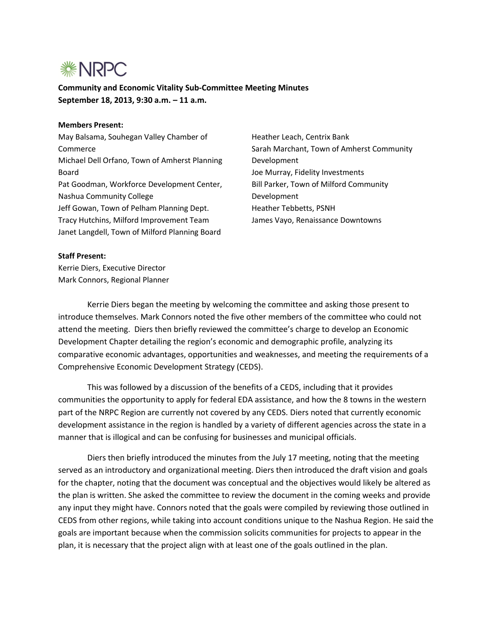

**Community and Economic Vitality Sub-Committee Meeting Minutes September 18, 2013, 9:30 a.m. – 11 a.m.**

## **Members Present:**

May Balsama, Souhegan Valley Chamber of Commerce Michael Dell Orfano, Town of Amherst Planning Board Pat Goodman, Workforce Development Center, Nashua Community College Jeff Gowan, Town of Pelham Planning Dept. Tracy Hutchins, Milford Improvement Team Janet Langdell, Town of Milford Planning Board

Heather Leach, Centrix Bank Sarah Marchant, Town of Amherst Community Development Joe Murray, Fidelity Investments Bill Parker, Town of Milford Community Development Heather Tebbetts, PSNH James Vayo, Renaissance Downtowns

## **Staff Present:**

Kerrie Diers, Executive Director Mark Connors, Regional Planner

Kerrie Diers began the meeting by welcoming the committee and asking those present to introduce themselves. Mark Connors noted the five other members of the committee who could not attend the meeting. Diers then briefly reviewed the committee's charge to develop an Economic Development Chapter detailing the region's economic and demographic profile, analyzing its comparative economic advantages, opportunities and weaknesses, and meeting the requirements of a Comprehensive Economic Development Strategy (CEDS).

This was followed by a discussion of the benefits of a CEDS, including that it provides communities the opportunity to apply for federal EDA assistance, and how the 8 towns in the western part of the NRPC Region are currently not covered by any CEDS. Diers noted that currently economic development assistance in the region is handled by a variety of different agencies across the state in a manner that is illogical and can be confusing for businesses and municipal officials.

Diers then briefly introduced the minutes from the July 17 meeting, noting that the meeting served as an introductory and organizational meeting. Diers then introduced the draft vision and goals for the chapter, noting that the document was conceptual and the objectives would likely be altered as the plan is written. She asked the committee to review the document in the coming weeks and provide any input they might have. Connors noted that the goals were compiled by reviewing those outlined in CEDS from other regions, while taking into account conditions unique to the Nashua Region. He said the goals are important because when the commission solicits communities for projects to appear in the plan, it is necessary that the project align with at least one of the goals outlined in the plan.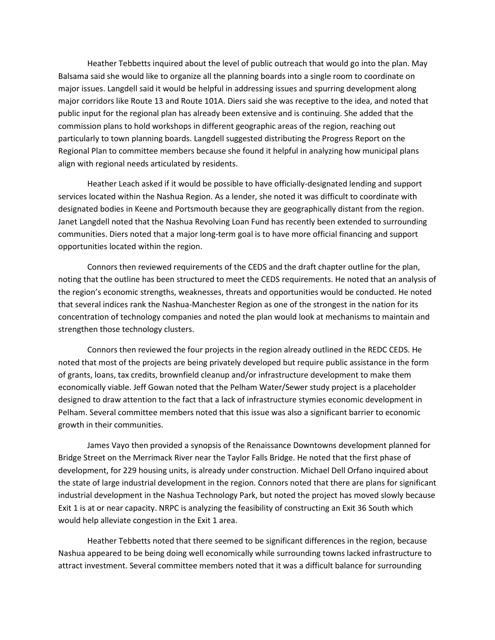Heather Tebbetts inquired about the level of public outreach that would go into the plan. May Balsama said she would like to organize all the planning boards into a single room to coordinate on major issues. Langdell said it would be helpful in addressing issues and spurring development along major corridors like Route 13 and Route 101A. Diers said she was receptive to the idea, and noted that public input for the regional plan has already been extensive and is continuing. She added that the commission plans to hold workshops in different geographic areas of the region, reaching out particularly to town planning boards. Langdell suggested distributing the Progress Report on the Regional Plan to committee members because she found it helpful in analyzing how municipal plans align with regional needs articulated by residents.

Heather Leach asked if it would be possible to have officially-designated lending and support services located within the Nashua Region. As a lender, she noted it was difficult to coordinate with designated bodies in Keene and Portsmouth because they are geographically distant from the region. Janet Langdell noted that the Nashua Revolving Loan Fund has recently been extended to surrounding communities. Diers noted that a major long-term goal is to have more official financing and support opportunities located within the region.

Connors then reviewed requirements of the CEDS and the draft chapter outline for the plan, noting that the outline has been structured to meet the CEDS requirements. He noted that an analysis of the region's economic strengths, weaknesses, threats and opportunities would be conducted. He noted that several indices rank the Nashua-Manchester Region as one of the strongest in the nation for its concentration of technology companies and noted the plan would look at mechanisms to maintain and strengthen those technology clusters.

Connors then reviewed the four projects in the region already outlined in the REDC CEDS. He noted that most of the projects are being privately developed but require public assistance in the form of grants, loans, tax credits, brownfield cleanup and/or infrastructure development to make them economically viable. Jeff Gowan noted that the Pelham Water/Sewer study project is a placeholder designed to draw attention to the fact that a lack of infrastructure stymies economic development in Pelham. Several committee members noted that this issue was also a significant barrier to economic growth in their communities.

James Vayo then provided a synopsis of the Renaissance Downtowns development planned for Bridge Street on the Merrimack River near the Taylor Falls Bridge. He noted that the first phase of development, for 229 housing units, is already under construction. Michael Dell Orfano inquired about the state of large industrial development in the region. Connors noted that there are plans for significant industrial development in the Nashua Technology Park, but noted the project has moved slowly because Exit 1 is at or near capacity. NRPC is analyzing the feasibility of constructing an Exit 36 South which would help alleviate congestion in the Exit 1 area.

Heather Tebbetts noted that there seemed to be significant differences in the region, because Nashua appeared to be being doing well economically while surrounding towns lacked infrastructure to attract investment. Several committee members noted that it was a difficult balance for surrounding